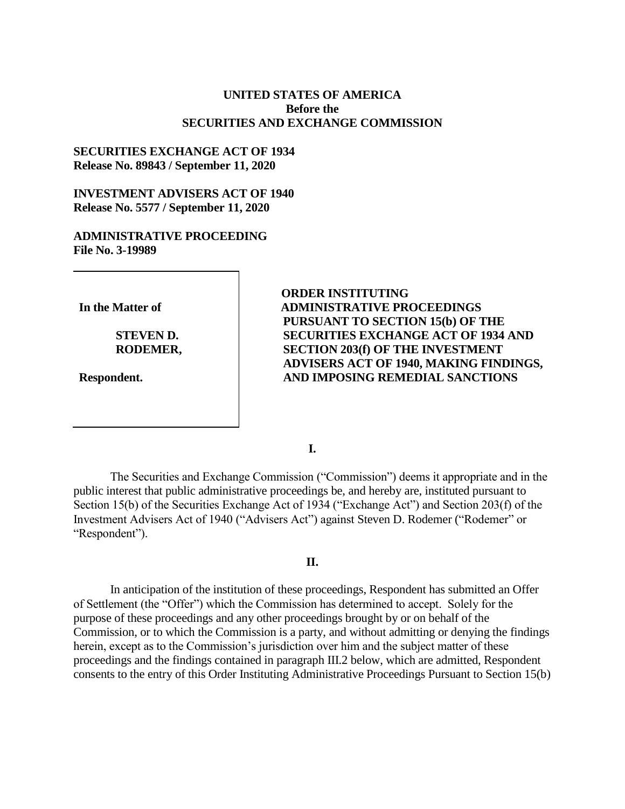## **UNITED STATES OF AMERICA Before the SECURITIES AND EXCHANGE COMMISSION**

## **SECURITIES EXCHANGE ACT OF 1934 Release No. 89843 / September 11, 2020**

# **INVESTMENT ADVISERS ACT OF 1940 Release No. 5577 / September 11, 2020**

# **ADMINISTRATIVE PROCEEDING File No. 3-19989**

**In the Matter of**

**STEVEN D. RODEMER,** 

**Respondent.**

**ORDER INSTITUTING ADMINISTRATIVE PROCEEDINGS PURSUANT TO SECTION 15(b) OF THE SECURITIES EXCHANGE ACT OF 1934 AND SECTION 203(f) OF THE INVESTMENT ADVISERS ACT OF 1940, MAKING FINDINGS, AND IMPOSING REMEDIAL SANCTIONS**

**I.**

The Securities and Exchange Commission ("Commission") deems it appropriate and in the public interest that public administrative proceedings be, and hereby are, instituted pursuant to Section 15(b) of the Securities Exchange Act of 1934 ("Exchange Act") and Section 203(f) of the Investment Advisers Act of 1940 ("Advisers Act") against Steven D. Rodemer ("Rodemer" or "Respondent").

# **II.**

In anticipation of the institution of these proceedings, Respondent has submitted an Offer of Settlement (the "Offer") which the Commission has determined to accept. Solely for the purpose of these proceedings and any other proceedings brought by or on behalf of the Commission, or to which the Commission is a party, and without admitting or denying the findings herein, except as to the Commission's jurisdiction over him and the subject matter of these proceedings and the findings contained in paragraph III.2 below, which are admitted, Respondent consents to the entry of this Order Instituting Administrative Proceedings Pursuant to Section 15(b)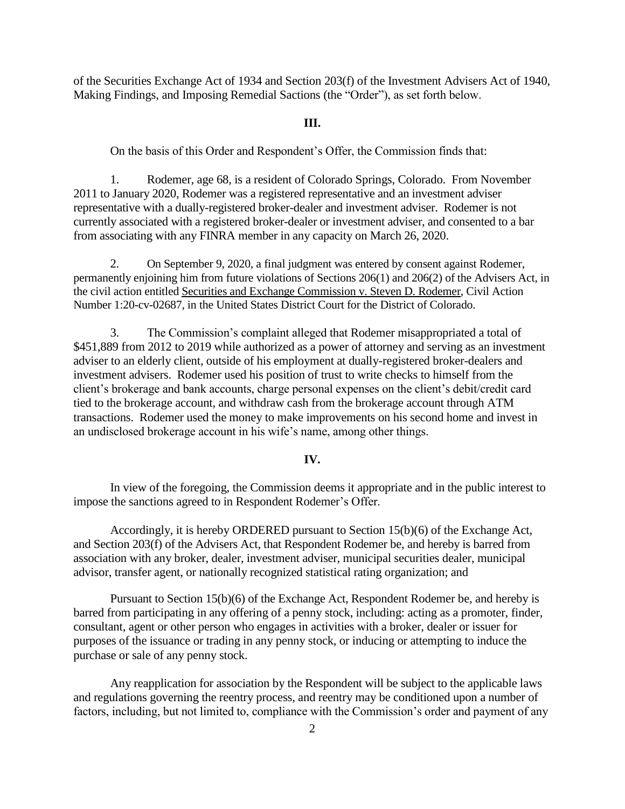of the Securities Exchange Act of 1934 and Section 203(f) of the Investment Advisers Act of 1940, Making Findings, and Imposing Remedial Sactions (the "Order"), as set forth below.

#### **III.**

On the basis of this Order and Respondent's Offer, the Commission finds that:

1. Rodemer, age 68, is a resident of Colorado Springs, Colorado. From November 2011 to January 2020, Rodemer was a registered representative and an investment adviser representative with a dually-registered broker-dealer and investment adviser. Rodemer is not currently associated with a registered broker-dealer or investment adviser, and consented to a bar from associating with any FINRA member in any capacity on March 26, 2020.

2. On September 9, 2020, a final judgment was entered by consent against Rodemer, permanently enjoining him from future violations of Sections 206(1) and 206(2) of the Advisers Act, in the civil action entitled Securities and Exchange Commission v. Steven D. Rodemer, Civil Action Number 1:20-cv-02687, in the United States District Court for the District of Colorado.

3. The Commission's complaint alleged that Rodemer misappropriated a total of \$451,889 from 2012 to 2019 while authorized as a power of attorney and serving as an investment adviser to an elderly client, outside of his employment at dually-registered broker-dealers and investment advisers. Rodemer used his position of trust to write checks to himself from the client's brokerage and bank accounts, charge personal expenses on the client's debit/credit card tied to the brokerage account, and withdraw cash from the brokerage account through ATM transactions. Rodemer used the money to make improvements on his second home and invest in an undisclosed brokerage account in his wife's name, among other things.

#### **IV.**

In view of the foregoing, the Commission deems it appropriate and in the public interest to impose the sanctions agreed to in Respondent Rodemer's Offer.

Accordingly, it is hereby ORDERED pursuant to Section 15(b)(6) of the Exchange Act, and Section 203(f) of the Advisers Act, that Respondent Rodemer be, and hereby is barred from association with any broker, dealer, investment adviser, municipal securities dealer, municipal advisor, transfer agent, or nationally recognized statistical rating organization; and

Pursuant to Section 15(b)(6) of the Exchange Act, Respondent Rodemer be, and hereby is barred from participating in any offering of a penny stock, including: acting as a promoter, finder, consultant, agent or other person who engages in activities with a broker, dealer or issuer for purposes of the issuance or trading in any penny stock, or inducing or attempting to induce the purchase or sale of any penny stock.

Any reapplication for association by the Respondent will be subject to the applicable laws and regulations governing the reentry process, and reentry may be conditioned upon a number of factors, including, but not limited to, compliance with the Commission's order and payment of any